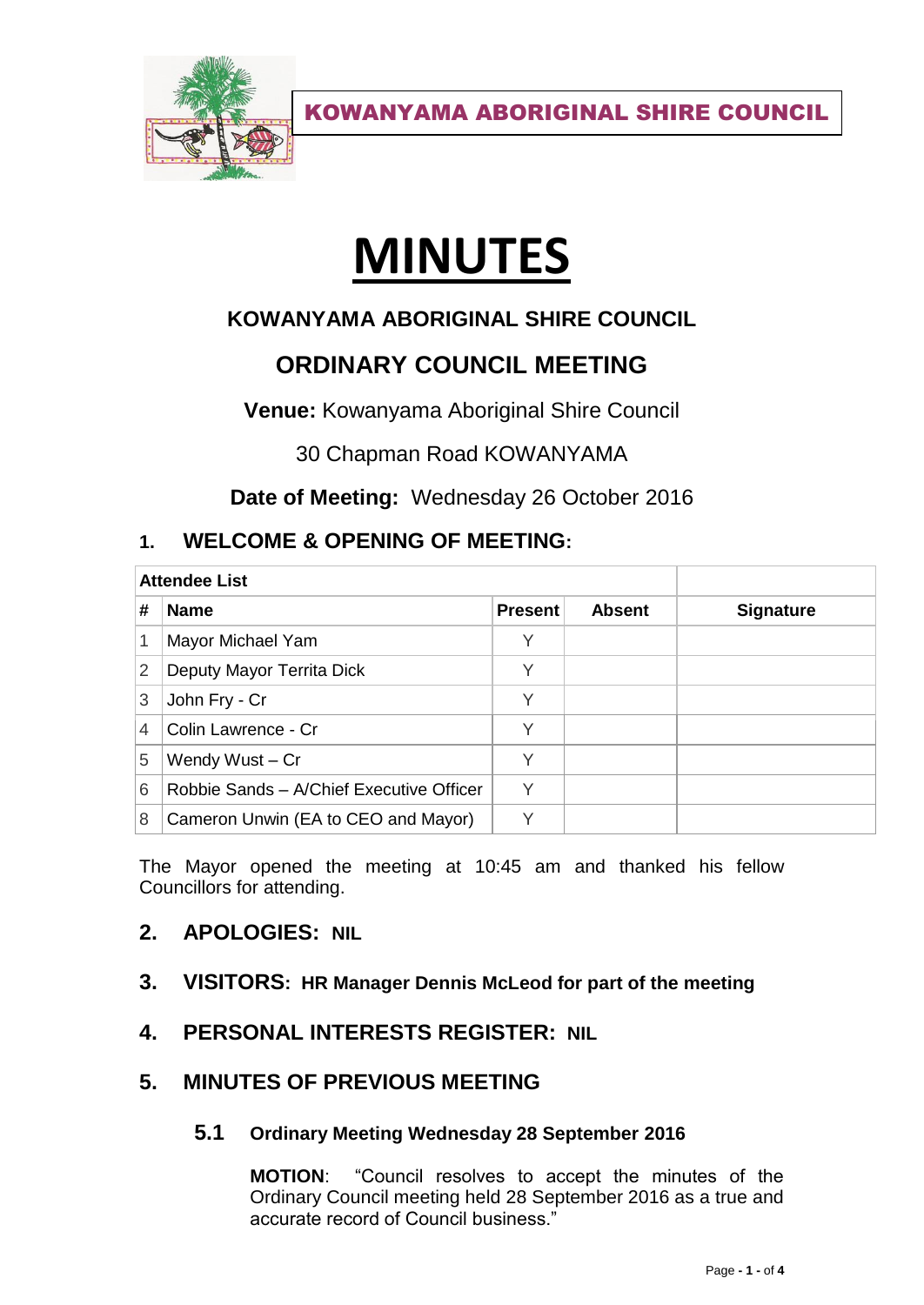

KOWANYAMA ABORIGINAL SHIRE COUNCIL

# **MINUTES**

# **KOWANYAMA ABORIGINAL SHIRE COUNCIL**

# **ORDINARY COUNCIL MEETING**

**Venue:** Kowanyama Aboriginal Shire Council

30 Chapman Road KOWANYAMA

**Date of Meeting:** Wednesday 26 October 2016

## **1. WELCOME & OPENING OF MEETING:**

| <b>Attendee List</b> |                                          |                |               |                  |
|----------------------|------------------------------------------|----------------|---------------|------------------|
| #                    | <b>Name</b>                              | <b>Present</b> | <b>Absent</b> | <b>Signature</b> |
| 1                    | Mayor Michael Yam                        | Υ              |               |                  |
| 2                    | Deputy Mayor Territa Dick                | Υ              |               |                  |
| 3                    | John Fry - Cr                            | Υ              |               |                  |
| 4                    | Colin Lawrence - Cr                      | Y              |               |                  |
| 5                    | Wendy Wust - Cr                          | $\checkmark$   |               |                  |
| 6                    | Robbie Sands - A/Chief Executive Officer | $\checkmark$   |               |                  |
| 8                    | Cameron Unwin (EA to CEO and Mayor)      | $\checkmark$   |               |                  |

The Mayor opened the meeting at 10:45 am and thanked his fellow Councillors for attending.

## **2. APOLOGIES: NIL**

- **3. VISITORS: HR Manager Dennis McLeod for part of the meeting**
- **4. PERSONAL INTERESTS REGISTER: NIL**

## **5. MINUTES OF PREVIOUS MEETING**

#### **5.1 Ordinary Meeting Wednesday 28 September 2016**

**MOTION**: "Council resolves to accept the minutes of the Ordinary Council meeting held 28 September 2016 as a true and accurate record of Council business."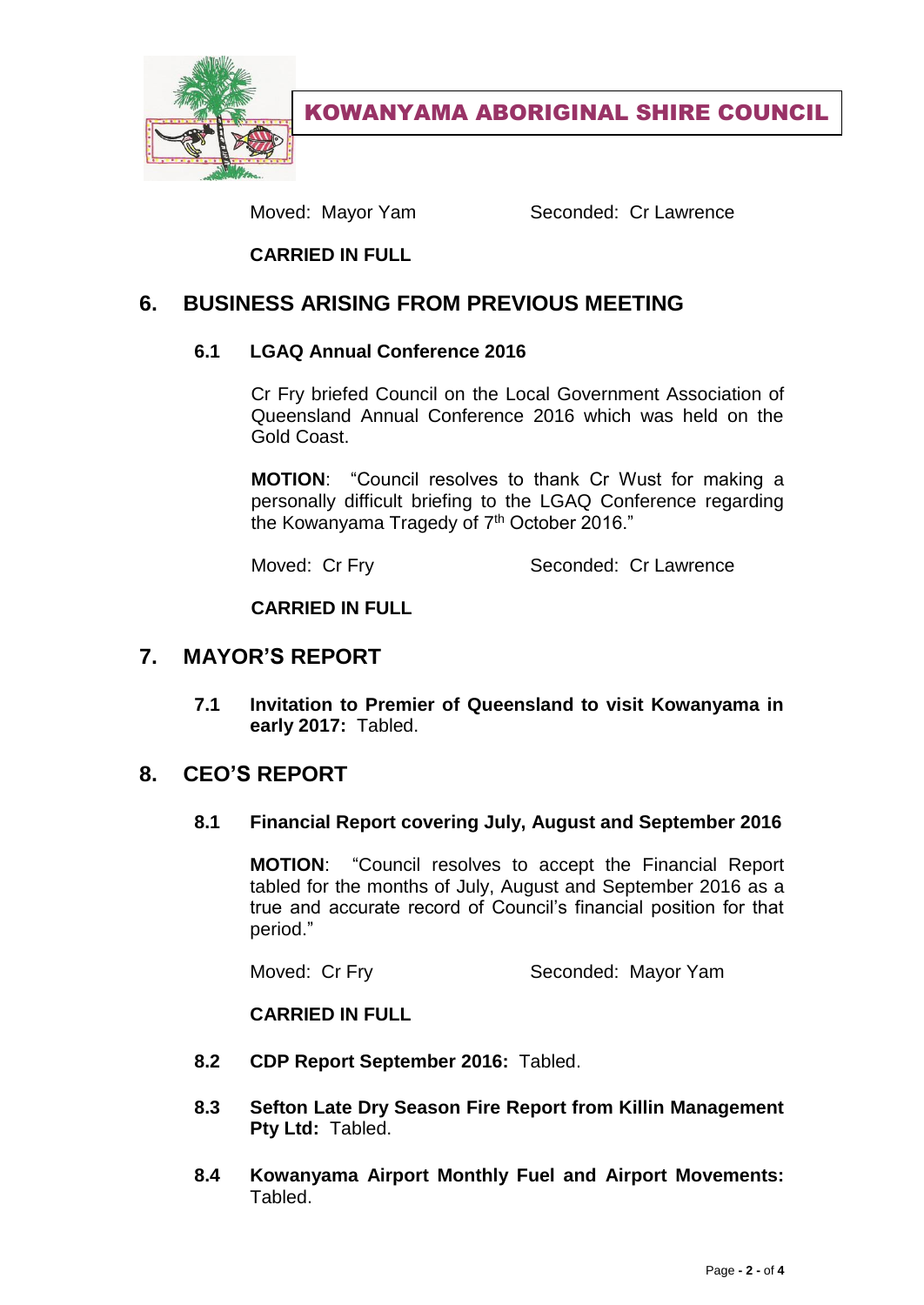

KOWANYAMA ABORIGINAL SHIRE COUNCIL

Moved: Mayor Yam Seconded: Cr Lawrence

**CARRIED IN FULL**

## **6. BUSINESS ARISING FROM PREVIOUS MEETING**

#### **6.1 LGAQ Annual Conference 2016**

Cr Fry briefed Council on the Local Government Association of Queensland Annual Conference 2016 which was held on the Gold Coast.

**MOTION**: "Council resolves to thank Cr Wust for making a personally difficult briefing to the LGAQ Conference regarding the Kowanyama Tragedy of 7<sup>th</sup> October 2016."

Moved: Cr Fry Seconded: Cr Lawrence

**CARRIED IN FULL**

## **7. MAYOR'S REPORT**

**7.1 Invitation to Premier of Queensland to visit Kowanyama in early 2017:** Tabled.

## **8. CEO'S REPORT**

#### **8.1 Financial Report covering July, August and September 2016**

**MOTION**: "Council resolves to accept the Financial Report tabled for the months of July, August and September 2016 as a true and accurate record of Council's financial position for that period."

Moved: Cr Fry Seconded: Mayor Yam

#### **CARRIED IN FULL**

- **8.2 CDP Report September 2016:** Tabled.
- **8.3 Sefton Late Dry Season Fire Report from Killin Management Pty Ltd:** Tabled.
- **8.4 Kowanyama Airport Monthly Fuel and Airport Movements:**  Tabled.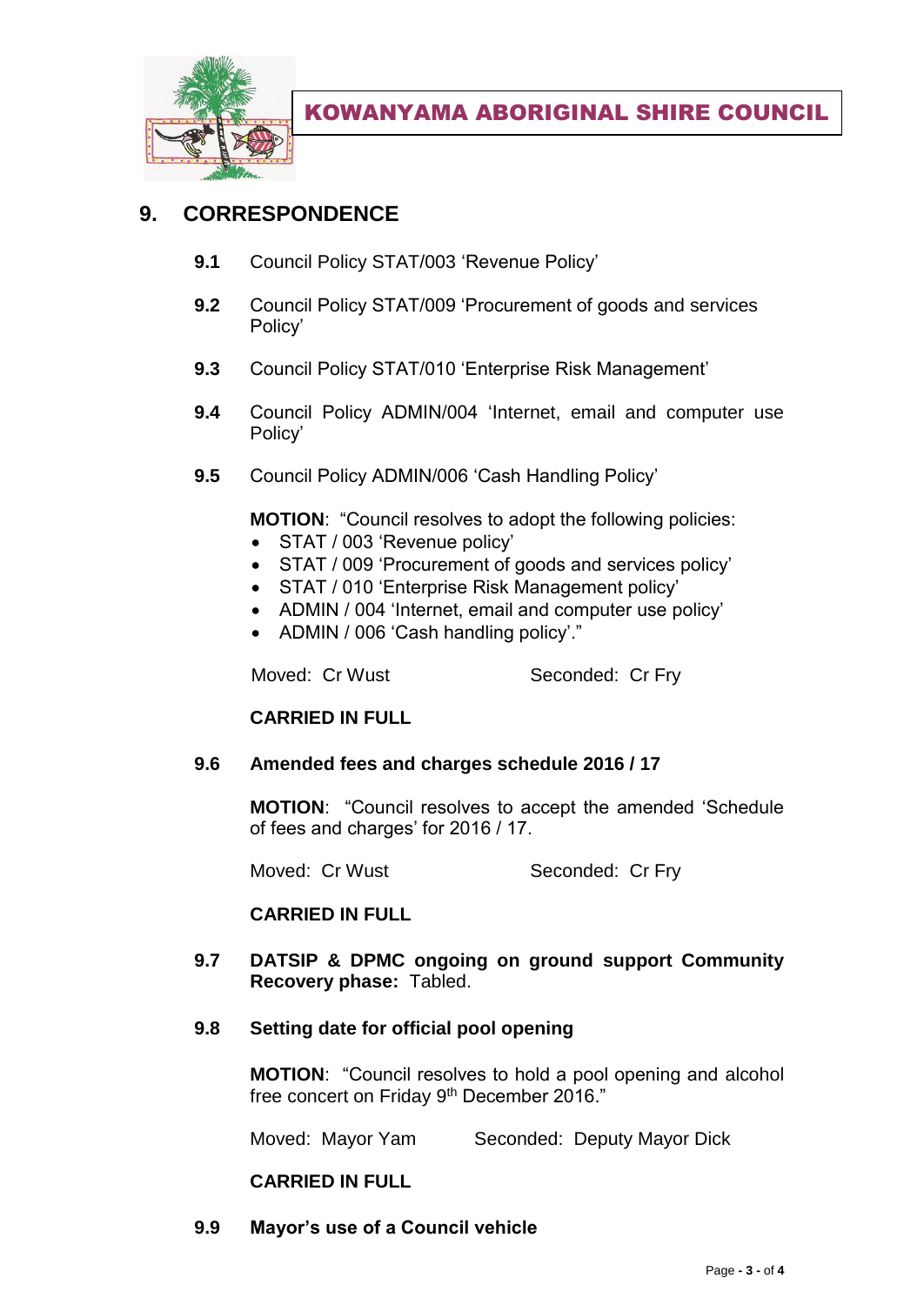

# **9. CORRESPONDENCE**

- **9.1** Council Policy STAT/003 'Revenue Policy'
- **9.2** Council Policy STAT/009 'Procurement of goods and services Policy'
- **9.3** Council Policy STAT/010 'Enterprise Risk Management'
- **9.4** Council Policy ADMIN/004 'Internet, email and computer use Policy'
- **9.5** Council Policy ADMIN/006 'Cash Handling Policy'

**MOTION**: "Council resolves to adopt the following policies:

- STAT / 003 'Revenue policy'
- STAT / 009 'Procurement of goods and services policy'
- STAT / 010 'Enterprise Risk Management policy'
- ADMIN / 004 'Internet, email and computer use policy'
- ADMIN / 006 'Cash handling policy'."

Moved: Cr Wust Seconded: Cr Fry

#### **CARRIED IN FULL**

#### **9.6 Amended fees and charges schedule 2016 / 17**

**MOTION**: "Council resolves to accept the amended 'Schedule of fees and charges' for 2016 / 17.

Moved: Cr Wust Seconded: Cr Fry

#### **CARRIED IN FULL**

**9.7 DATSIP & DPMC ongoing on ground support Community Recovery phase:** Tabled.

#### **9.8 Setting date for official pool opening**

**MOTION**: "Council resolves to hold a pool opening and alcohol free concert on Friday 9<sup>th</sup> December 2016."

Moved: Mayor Yam Seconded: Deputy Mayor Dick

#### **CARRIED IN FULL**

**9.9 Mayor's use of a Council vehicle**